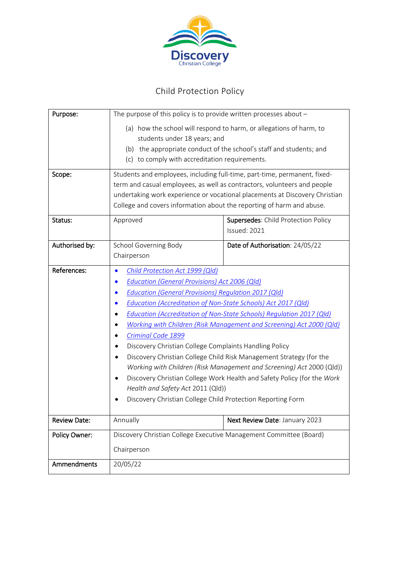

# Child Protection Policy

| Purpose:             | The purpose of this policy is to provide written processes about $-$             |                                     |
|----------------------|----------------------------------------------------------------------------------|-------------------------------------|
|                      | (a) how the school will respond to harm, or allegations of harm, to              |                                     |
|                      | students under 18 years; and                                                     |                                     |
|                      | (b) the appropriate conduct of the school's staff and students; and              |                                     |
|                      | (c) to comply with accreditation requirements.                                   |                                     |
| Scope:               | Students and employees, including full-time, part-time, permanent, fixed-        |                                     |
|                      | term and casual employees, as well as contractors, volunteers and people         |                                     |
|                      | undertaking work experience or vocational placements at Discovery Christian      |                                     |
|                      | College and covers information about the reporting of harm and abuse.            |                                     |
| Status:              | Approved                                                                         | Supersedes: Child Protection Policy |
|                      |                                                                                  | Issued: 2021                        |
| Authorised by:       | School Governing Body                                                            | Date of Authorisation: 24/05/22     |
|                      | Chairperson                                                                      |                                     |
| References:          | Child Protection Act 1999 (Qld)                                                  |                                     |
|                      | <b>Education (General Provisions) Act 2006 (Qld)</b>                             |                                     |
|                      | Education (General Provisions) Regulation 2017 (Qld)                             |                                     |
|                      | Education (Accreditation of Non-State Schools) Act 2017 (Qld)                    |                                     |
|                      | Education (Accreditation of Non-State Schools) Regulation 2017 (Qld)             |                                     |
|                      | Working with Children (Risk Management and Screening) Act 2000 (Qld)             |                                     |
|                      | Criminal Code 1899                                                               |                                     |
|                      | Discovery Christian College Complaints Handling Policy                           |                                     |
|                      | Discovery Christian College Child Risk Management Strategy (for the<br>$\bullet$ |                                     |
|                      | Working with Children (Risk Management and Screening) Act 2000 (Qld))            |                                     |
|                      | Discovery Christian College Work Health and Safety Policy (for the Work          |                                     |
|                      | Health and Safety Act 2011 (Qld))                                                |                                     |
|                      | Discovery Christian College Child Protection Reporting Form                      |                                     |
| <b>Review Date:</b>  | Annually                                                                         | Next Review Date: January 2023      |
| <b>Policy Owner:</b> | Discovery Christian College Executive Management Committee (Board)               |                                     |
|                      |                                                                                  |                                     |
|                      | Chairperson                                                                      |                                     |
| Ammendments          | 20/05/22                                                                         |                                     |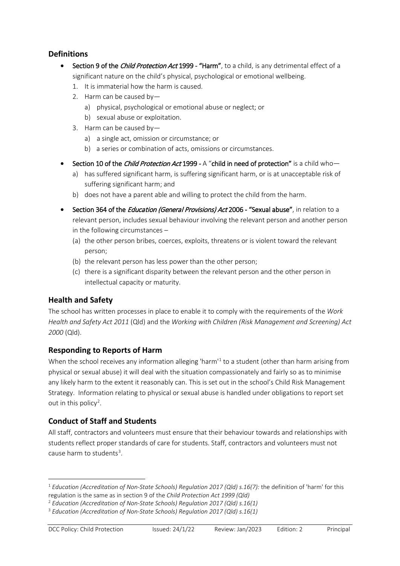# **Definitions**

- Section 9 of the *Child Protection Act* 1999 "Harm", to a child, is any detrimental effect of a significant nature on the child's physical, psychological or emotional wellbeing.
	- 1. It is immaterial how the harm is caused.
	- 2. Harm can be caused by
		- a) physical, psychological or emotional abuse or neglect; or
		- b) sexual abuse or exploitation.
	- 3. Harm can be caused by
		- a) a single act, omission or circumstance; or
		- b) a series or combination of acts, omissions or circumstances.
- Section 10 of the *Child Protection Act* 1999 A "child in need of protection" is a child who
	- a) has suffered significant harm, is suffering significant harm, or is at unacceptable risk of suffering significant harm; and
	- b) does not have a parent able and willing to protect the child from the harm.
- Section 364 of the *Education (General Provisions) Act* 2006 "Sexual abuse", in relation to a relevant person, includes sexual behaviour involving the relevant person and another person in the following circumstances –
	- (a) the other person bribes, coerces, exploits, threatens or is violent toward the relevant person;
	- (b) the relevant person has less power than the other person;
	- (c) there is a significant disparity between the relevant person and the other person in intellectual capacity or maturity.

# **Health and Safety**

The school has written processes in place to enable it to comply with the requirements of the *Work Health and Safety Act 2011* (Qld) and the *Working with Children (Risk Management and Screening) Act 2000* (Qld).

# **Responding to Reports of Harm**

When the school receives any information alleging 'harm'<sup>[1](#page-1-0)</sup> to a student (other than harm arising from physical or sexual abuse) it will deal with the situation compassionately and fairly so as to minimise any likely harm to the extent it reasonably can. This is set out in the school's Child Risk Management Strategy. Information relating to physical or sexual abuse is handled under obligations to report set out in this policy<sup>[2](#page-1-1)</sup>.

# **Conduct of Staff and Students**

All staff, contractors and volunteers must ensure that their behaviour towards and relationships with students reflect proper standards of care for students. Staff, contractors and volunteers must not cause harm to students<sup>[3](#page-1-2)</sup>.

<span id="page-1-0"></span> <sup>1</sup> *Education (Accreditation of Non-State Schools) Regulation 2017 (Qld) s.16(7):* the definition of 'harm' for this regulation is the same as in section 9 of the *Child Protection Act 1999 (Qld)*

<span id="page-1-1"></span><sup>2</sup> *Education (Accreditation of Non-State Schools) Regulation 2017 (Qld) s.16(1)*

<span id="page-1-2"></span><sup>3</sup> *Education (Accreditation of Non-State Schools) Regulation 2017 (Qld) s.16(1)*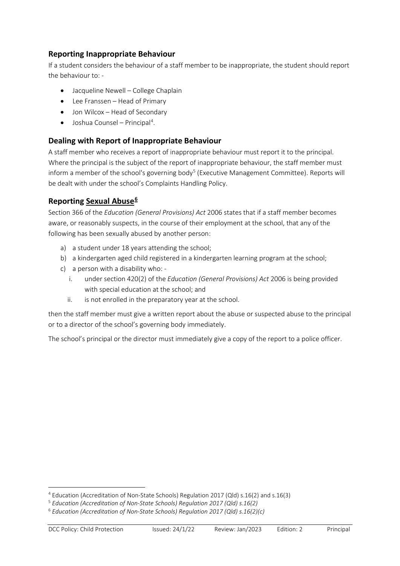# **Reporting Inappropriate Behaviour**

If a student considers the behaviour of a staff member to be inappropriate, the student should report the behaviour to: -

- Jacqueline Newell College Chaplain
- Lee Franssen Head of Primary
- Jon Wilcox Head of Secondary
- Joshua Counsel Principal<sup>[4](#page-2-0)</sup>.

# **Dealing with Report of Inappropriate Behaviour**

A staff member who receives a report of inappropriate behaviour must report it to the principal. Where the principal is the subject of the report of inappropriate behaviour, the staff member must inform a member of the school's governing body<sup>[5](#page-2-1)</sup> (Executive Management Committee). Reports will be dealt with under the school's Complaints Handling Policy.

# **Reporting Sexual Abuse[6](#page-2-2)**

Section 366 of the *Education (General Provisions) Act* 2006 states that if a staff member becomes aware, or reasonably suspects, in the course of their employment at the school, that any of the following has been sexually abused by another person:

- a) a student under 18 years attending the school;
- b) a kindergarten aged child registered in a kindergarten learning program at the school;
- c) a person with a disability who:
	- i. under section 420(2) of the *Education (General Provisions) Act* 2006 is being provided with special education at the school; and
	- ii. is not enrolled in the preparatory year at the school.

then the staff member must give a written report about the abuse or suspected abuse to the principal or to a director of the school's governing body immediately.

The school's principal or the director must immediately give a copy of the report to a police officer.

<u>.</u>

<span id="page-2-0"></span><sup>4</sup> Education (Accreditation of Non-State Schools) Regulation 2017 (Qld) s.16(2) and s.16(3)

<span id="page-2-1"></span><sup>5</sup> *Education (Accreditation of Non-State Schools) Regulation 2017 (Qld) s.16(2)*

<span id="page-2-2"></span><sup>6</sup> *Education (Accreditation of Non-State Schools) Regulation 2017 (Qld) s.16(2)(c)*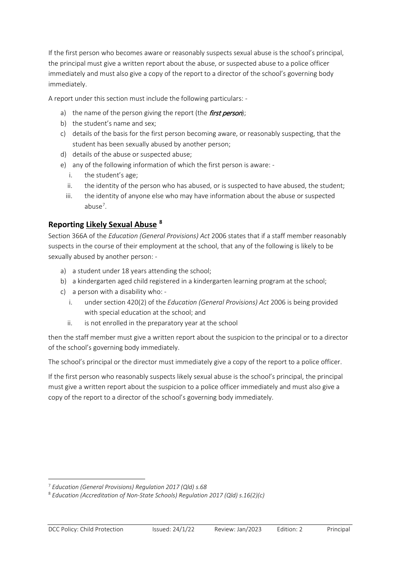If the first person who becomes aware or reasonably suspects sexual abuse is the school's principal, the principal must give a written report about the abuse, or suspected abuse to a police officer immediately and must also give a copy of the report to a director of the school's governing body immediately.

A report under this section must include the following particulars: -

- a) the name of the person giving the report (the *first person*);
- b) the student's name and sex;
- c) details of the basis for the first person becoming aware, or reasonably suspecting, that the student has been sexually abused by another person;
- d) details of the abuse or suspected abuse;
- e) any of the following information of which the first person is aware:
	- i. the student's age;
	- ii. the identity of the person who has abused, or is suspected to have abused, the student;
	- iii. the identity of anyone else who may have information about the abuse or suspected abuse<sup>[7](#page-3-0)</sup>.

### **Reporting Likely Sexual Abuse [8](#page-3-1)**

Section 366A of the *Education (General Provisions) Act* 2006 states that if a staff member reasonably suspects in the course of their employment at the school, that any of the following is likely to be sexually abused by another person: -

- a) a student under 18 years attending the school;
- b) a kindergarten aged child registered in a kindergarten learning program at the school;
- c) a person with a disability who:
	- i. under section 420(2) of the *Education (General Provisions) Act* 2006 is being provided with special education at the school; and
	- ii. is not enrolled in the preparatory year at the school

then the staff member must give a written report about the suspicion to the principal or to a director of the school's governing body immediately.

The school's principal or the director must immediately give a copy of the report to a police officer.

If the first person who reasonably suspects likely sexual abuse is the school's principal, the principal must give a written report about the suspicion to a police officer immediately and must also give a copy of the report to a director of the school's governing body immediately.

 $\overline{a}$ 

<span id="page-3-0"></span><sup>7</sup> *Education (General Provisions) Regulation 2017 (Qld) s.68*

<span id="page-3-1"></span><sup>8</sup> *Education (Accreditation of Non-State Schools) Regulation 2017 (Qld) s.16(2)(c)*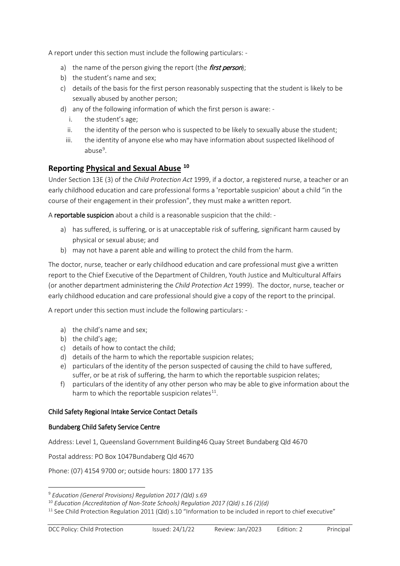A report under this section must include the following particulars: -

- a) the name of the person giving the report (the *first person*);
- b) the student's name and sex;
- c) details of the basis for the first person reasonably suspecting that the student is likely to be sexually abused by another person;
- d) any of the following information of which the first person is aware:
	- i. the student's age;
	- ii. the identity of the person who is suspected to be likely to sexually abuse the student;
	- iii. the identity of anyone else who may have information about suspected likelihood of abuse<sup>[9](#page-4-0)</sup>.

# **Reporting Physical and Sexual Abuse [10](#page-4-1)**

Under Section 13E (3) of the *Child Protection Act* 1999, if a doctor, a registered nurse, a teacher or an early childhood education and care professional forms a 'reportable suspicion' about a child "in the course of their engagement in their profession", they must make a written report.

A reportable suspicion about a child is a reasonable suspicion that the child: -

- a) has suffered, is suffering, or is at unacceptable risk of suffering, significant harm caused by physical or sexual abuse; and
- b) may not have a parent able and willing to protect the child from the harm.

The doctor, nurse, teacher or early childhood education and care professional must give a written report to the Chief Executive of the Department of Children, Youth Justice and Multicultural Affairs (or another department administering the *Child Protection Act* 1999). The doctor, nurse, teacher or early childhood education and care professional should give a copy of the report to the principal.

A report under this section must include the following particulars: -

- a) the child's name and sex;
- b) the child's age;
- c) details of how to contact the child;
- d) details of the harm to which the reportable suspicion relates;
- e) particulars of the identity of the person suspected of causing the child to have suffered, suffer, or be at risk of suffering, the harm to which the reportable suspicion relates;
- f) particulars of the identity of any other person who may be able to give information about the harm to which the reportable suspicion relates $^{11}$ .

#### Child Safety Regional Intake Service Contact Details

#### Bundaberg Child Safety Service Centre

Address: Level 1, Queensland Government Building46 Quay Street Bundaberg Qld 4670

Postal address: PO Box 1047Bundaberg Qld 4670

Phone: (07) 4154 9700 or; outside hours: 1800 177 135

<u>.</u>

<span id="page-4-0"></span><sup>9</sup> *Education (General Provisions) Regulation 2017 (Qld) s.69*

<span id="page-4-1"></span><sup>10</sup> *Education (Accreditation of Non-State Schools) Regulation 2017 (Qld) s.16 (2)(d)*

<span id="page-4-2"></span><sup>&</sup>lt;sup>11</sup> See Child Protection Regulation 2011 (Qld) s.10 "Information to be included in report to chief executive"